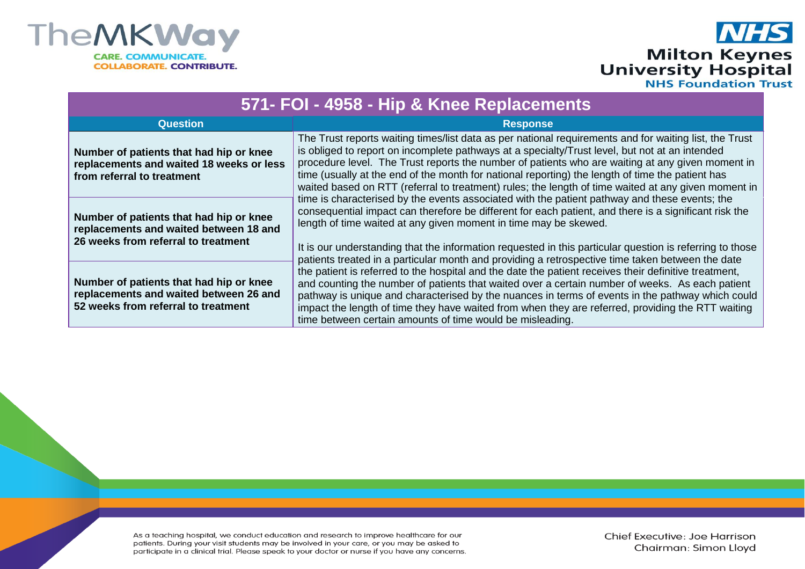

## **NHS Milton Keynes<br>University Hospital**<br>
NHS Foundation Trust

| 571- FOI - 4958 - Hip & Knee Replacements                                                                                |                                                                                                                                                                                                                                                                                                                                                                                                                                                                                                                                                                                    |  |  |
|--------------------------------------------------------------------------------------------------------------------------|------------------------------------------------------------------------------------------------------------------------------------------------------------------------------------------------------------------------------------------------------------------------------------------------------------------------------------------------------------------------------------------------------------------------------------------------------------------------------------------------------------------------------------------------------------------------------------|--|--|
| <b>Question</b>                                                                                                          | <b>Response</b>                                                                                                                                                                                                                                                                                                                                                                                                                                                                                                                                                                    |  |  |
| Number of patients that had hip or knee<br>replacements and waited 18 weeks or less<br>from referral to treatment        | The Trust reports waiting times/list data as per national requirements and for waiting list, the Trust<br>is obliged to report on incomplete pathways at a specialty/Trust level, but not at an intended<br>procedure level. The Trust reports the number of patients who are waiting at any given moment in<br>time (usually at the end of the month for national reporting) the length of time the patient has<br>waited based on RTT (referral to treatment) rules; the length of time waited at any given moment in                                                            |  |  |
| Number of patients that had hip or knee<br>replacements and waited between 18 and<br>26 weeks from referral to treatment | time is characterised by the events associated with the patient pathway and these events; the<br>consequential impact can therefore be different for each patient, and there is a significant risk the<br>length of time waited at any given moment in time may be skewed.<br>It is our understanding that the information requested in this particular question is referring to those                                                                                                                                                                                             |  |  |
| Number of patients that had hip or knee<br>replacements and waited between 26 and<br>52 weeks from referral to treatment | patients treated in a particular month and providing a retrospective time taken between the date<br>the patient is referred to the hospital and the date the patient receives their definitive treatment,<br>and counting the number of patients that waited over a certain number of weeks. As each patient<br>pathway is unique and characterised by the nuances in terms of events in the pathway which could<br>impact the length of time they have waited from when they are referred, providing the RTT waiting<br>time between certain amounts of time would be misleading. |  |  |

As a teaching hospital, we conduct education and research to improve healthcare for our patients. During your visit students may be involved in your care, or you may be asked to participate in a clinical trial. Please speak to your doctor or nurse if you have any concerns. Chief Executive: Joe Harrison Chairman: Simon Lloyd